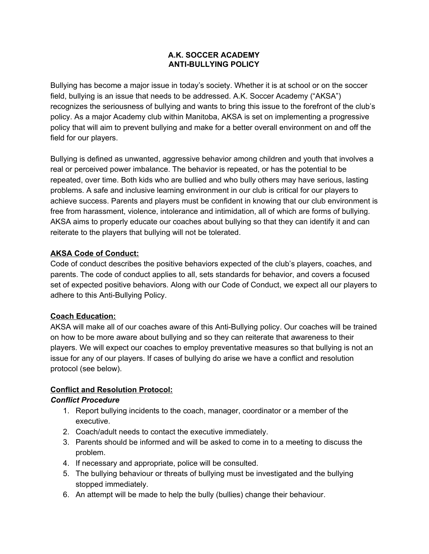#### **A.K. SOCCER ACADEMY ANTI-BULLYING POLICY**

Bullying has become a major issue in today's society. Whether it is at school or on the soccer field, bullying is an issue that needs to be addressed. A.K. Soccer Academy ("AKSA") recognizes the seriousness of bullying and wants to bring this issue to the forefront of the club's policy. As a major Academy club within Manitoba, AKSA is set on implementing a progressive policy that will aim to prevent bullying and make for a better overall environment on and off the field for our players.

Bullying is defined as unwanted, aggressive behavior among children and youth that involves a real or perceived power imbalance. The behavior is repeated, or has the potential to be repeated, over time. Both kids who are bullied and who bully others may have serious, lasting problems. A safe and inclusive learning environment in our club is critical for our players to achieve success. Parents and players must be confident in knowing that our club environment is free from harassment, violence, intolerance and intimidation, all of which are forms of bullying. AKSA aims to properly educate our coaches about bullying so that they can identify it and can reiterate to the players that bullying will not be tolerated.

## **AKSA Code of Conduct:**

Code of conduct describes the positive behaviors expected of the club's players, coaches, and parents. The code of conduct applies to all, sets standards for behavior, and covers a focused set of expected positive behaviors. Along with our Code of Conduct, we expect all our players to adhere to this Anti-Bullying Policy.

### **Coach Education:**

AKSA will make all of our coaches aware of this Anti-Bullying policy. Our coaches will be trained on how to be more aware about bullying and so they can reiterate that awareness to their players. We will expect our coaches to employ preventative measures so that bullying is not an issue for any of our players. If cases of bullying do arise we have a conflict and resolution protocol (see below).

### **Conflict and Resolution Protocol:**

### *Conflict Procedure*

- 1. Report bullying incidents to the coach, manager, coordinator or a member of the executive.
- 2. Coach/adult needs to contact the executive immediately.
- 3. Parents should be informed and will be asked to come in to a meeting to discuss the problem.
- 4. If necessary and appropriate, police will be consulted.
- 5. The bullying behaviour or threats of bullying must be investigated and the bullying stopped immediately.
- 6. An attempt will be made to help the bully (bullies) change their behaviour.